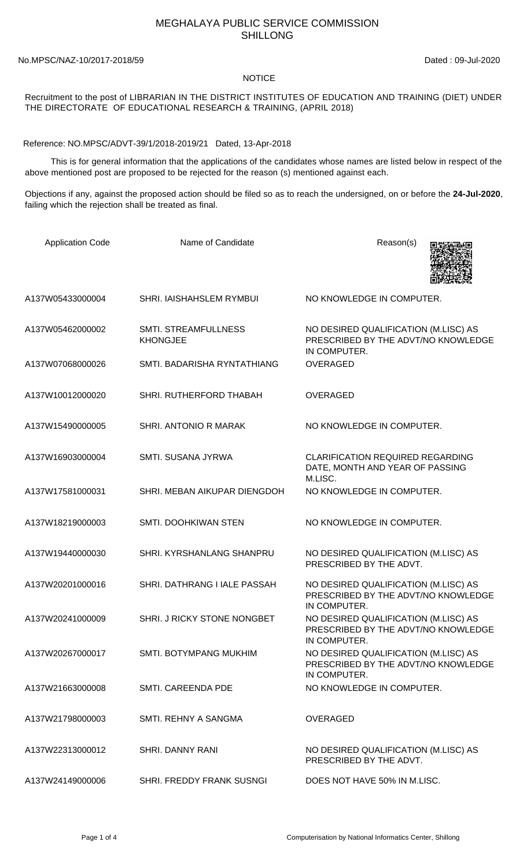## MEGHALAYA PUBLIC SERVICE COMMISSION SHILLONG

No.MPSC/NAZ-10/2017-2018/59 Dated : 09-Jul-2020

## **NOTICE**

## Recruitment to the post of LIBRARIAN IN THE DISTRICT INSTITUTES OF EDUCATION AND TRAINING (DIET) UNDER THE DIRECTORATE OF EDUCATIONAL RESEARCH & TRAINING, (APRIL 2018)

Reference: NO.MPSC/ADVT-39/1/2018-2019/21 Dated, 13-Apr-2018

 This is for general information that the applications of the candidates whose names are listed below in respect of the above mentioned post are proposed to be rejected for the reason (s) mentioned against each.

Objections if any, against the proposed action should be filed so as to reach the undersigned, on or before the **24-Jul-2020**, failing which the rejection shall be treated as final.

| <b>Application Code</b> | Name of Candidate                              | Reason(s)                                                                                   |
|-------------------------|------------------------------------------------|---------------------------------------------------------------------------------------------|
| A137W05433000004        | <b>SHRI. IAISHAHSLEM RYMBUI</b>                | NO KNOWLEDGE IN COMPUTER.                                                                   |
| A137W05462000002        | <b>SMTI. STREAMFULLNESS</b><br><b>KHONGJEE</b> | NO DESIRED QUALIFICATION (M.LISC) AS<br>PRESCRIBED BY THE ADVT/NO KNOWLEDGE<br>IN COMPUTER. |
| A137W07068000026        | SMTI. BADARISHA RYNTATHIANG                    | <b>OVERAGED</b>                                                                             |
| A137W10012000020        | SHRI. RUTHERFORD THABAH                        | <b>OVERAGED</b>                                                                             |
| A137W15490000005        | SHRI. ANTONIO R MARAK                          | NO KNOWLEDGE IN COMPUTER.                                                                   |
| A137W16903000004        | <b>SMTI. SUSANA JYRWA</b>                      | <b>CLARIFICATION REQUIRED REGARDING</b><br>DATE, MONTH AND YEAR OF PASSING<br>M.LISC.       |
| A137W17581000031        | SHRI. MEBAN AIKUPAR DIENGDOH                   | NO KNOWLEDGE IN COMPUTER.                                                                   |
| A137W18219000003        | SMTI. DOOHKIWAN STEN                           | NO KNOWLEDGE IN COMPUTER.                                                                   |
| A137W19440000030        | SHRI. KYRSHANLANG SHANPRU                      | NO DESIRED QUALIFICATION (M.LISC) AS<br>PRESCRIBED BY THE ADVT.                             |
| A137W20201000016        | SHRI. DATHRANG I IALE PASSAH                   | NO DESIRED QUALIFICATION (M.LISC) AS<br>PRESCRIBED BY THE ADVT/NO KNOWLEDGE<br>IN COMPUTER. |
| A137W20241000009        | SHRI. J RICKY STONE NONGBET                    | NO DESIRED QUALIFICATION (M.LISC) AS<br>PRESCRIBED BY THE ADVT/NO KNOWLEDGE<br>IN COMPUTER. |
| A137W20267000017        | <b>SMTI. BOTYMPANG MUKHIM</b>                  | NO DESIRED QUALIFICATION (M.LISC) AS<br>PRESCRIBED BY THE ADVT/NO KNOWLEDGE<br>IN COMPUTER. |
| A137W21663000008        | <b>SMTI. CAREENDA PDE</b>                      | NO KNOWLEDGE IN COMPUTER.                                                                   |
| A137W21798000003        | SMTI. REHNY A SANGMA                           | <b>OVERAGED</b>                                                                             |
| A137W22313000012        | SHRI. DANNY RANI                               | NO DESIRED QUALIFICATION (M.LISC) AS<br>PRESCRIBED BY THE ADVT.                             |
| A137W24149000006        | SHRI. FREDDY FRANK SUSNGI                      | DOES NOT HAVE 50% IN M.LISC.                                                                |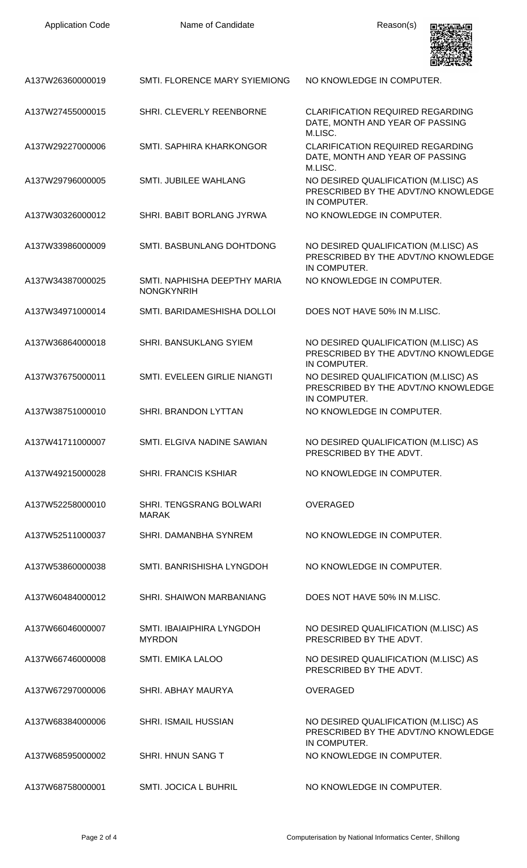| <b>Application Code</b> | Name of Candidate                                 | Reason(s)                                                                                   |
|-------------------------|---------------------------------------------------|---------------------------------------------------------------------------------------------|
| A137W26360000019        | SMTI. FLORENCE MARY SYIEMIONG                     | NO KNOWLEDGE IN COMPUTER.                                                                   |
| A137W27455000015        | SHRI. CLEVERLY REENBORNE                          | <b>CLARIFICATION REQUIRED REGARDING</b><br>DATE, MONTH AND YEAR OF PASSING<br>M.LISC.       |
| A137W29227000006        | SMTI. SAPHIRA KHARKONGOR                          | <b>CLARIFICATION REQUIRED REGARDING</b><br>DATE, MONTH AND YEAR OF PASSING<br>M.LISC.       |
| A137W29796000005        | SMTI. JUBILEE WAHLANG                             | NO DESIRED QUALIFICATION (M.LISC) AS<br>PRESCRIBED BY THE ADVT/NO KNOWLEDGE<br>IN COMPUTER. |
| A137W30326000012        | SHRI. BABIT BORLANG JYRWA                         | NO KNOWLEDGE IN COMPUTER.                                                                   |
| A137W33986000009        | SMTI. BASBUNLANG DOHTDONG                         | NO DESIRED QUALIFICATION (M.LISC) AS<br>PRESCRIBED BY THE ADVT/NO KNOWLEDGE<br>IN COMPUTER. |
| A137W34387000025        | SMTI, NAPHISHA DEEPTHY MARIA<br><b>NONGKYNRIH</b> | NO KNOWLEDGE IN COMPUTER.                                                                   |
| A137W34971000014        | SMTI. BARIDAMESHISHA DOLLOI                       | DOES NOT HAVE 50% IN M.LISC.                                                                |
| A137W36864000018        | SHRI. BANSUKLANG SYIEM                            | NO DESIRED QUALIFICATION (M.LISC) AS<br>PRESCRIBED BY THE ADVT/NO KNOWLEDGE<br>IN COMPUTER. |
| A137W37675000011        | SMTI. EVELEEN GIRLIE NIANGTI                      | NO DESIRED QUALIFICATION (M.LISC) AS<br>PRESCRIBED BY THE ADVT/NO KNOWLEDGE<br>IN COMPUTER. |
| A137W38751000010        | SHRI. BRANDON LYTTAN                              | NO KNOWLEDGE IN COMPUTER.                                                                   |
| A137W41711000007        | SMTI. ELGIVA NADINE SAWIAN                        | NO DESIRED QUALIFICATION (M.LISC) AS<br>PRESCRIBED BY THE ADVT.                             |
| A137W49215000028        | <b>SHRI. FRANCIS KSHIAR</b>                       | NO KNOWLEDGE IN COMPUTER.                                                                   |
| A137W52258000010        | <b>SHRI. TENGSRANG BOLWARI</b><br><b>MARAK</b>    | <b>OVERAGED</b>                                                                             |
| A137W52511000037        | SHRI. DAMANBHA SYNREM                             | NO KNOWLEDGE IN COMPUTER.                                                                   |
| A137W53860000038        | SMTI. BANRISHISHA LYNGDOH                         | NO KNOWLEDGE IN COMPUTER.                                                                   |
| A137W60484000012        | SHRI. SHAIWON MARBANIANG                          | DOES NOT HAVE 50% IN M.LISC.                                                                |
| A137W66046000007        | SMTI. IBAIAIPHIRA LYNGDOH<br><b>MYRDON</b>        | NO DESIRED QUALIFICATION (M.LISC) AS<br>PRESCRIBED BY THE ADVT.                             |
| A137W66746000008        | SMTI. EMIKA LALOO                                 | NO DESIRED QUALIFICATION (M.LISC) AS<br>PRESCRIBED BY THE ADVT.                             |
| A137W67297000006        | SHRI. ABHAY MAURYA                                | <b>OVERAGED</b>                                                                             |
| A137W68384000006        | <b>SHRI. ISMAIL HUSSIAN</b>                       | NO DESIRED QUALIFICATION (M.LISC) AS<br>PRESCRIBED BY THE ADVT/NO KNOWLEDGE<br>IN COMPUTER. |
| A137W68595000002        | SHRI. HNUN SANG T                                 | NO KNOWLEDGE IN COMPUTER.                                                                   |
| A137W68758000001        | <b>SMTI. JOCICA L BUHRIL</b>                      | NO KNOWLEDGE IN COMPUTER.                                                                   |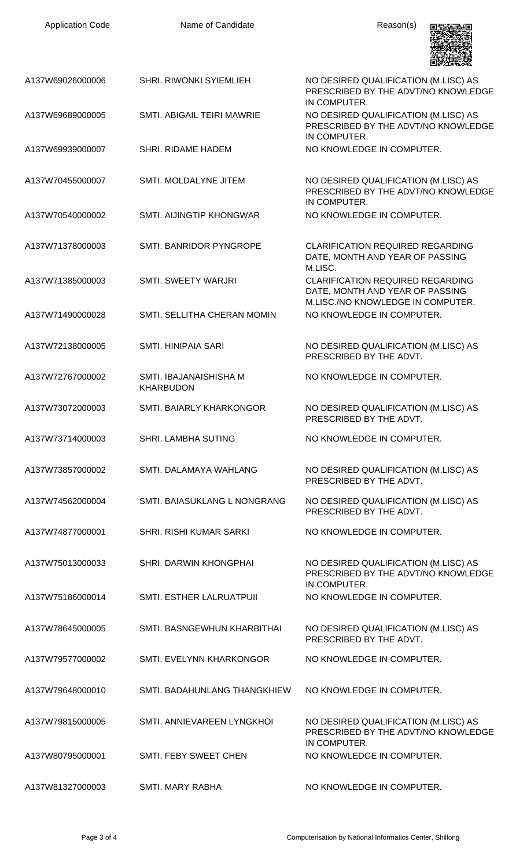| <b>Application Code</b> | Name of Candidate                          | Reason(s)                                                                                                       |
|-------------------------|--------------------------------------------|-----------------------------------------------------------------------------------------------------------------|
| A137W69026000006        | <b>SHRI. RIWONKI SYIEMLIEH</b>             | NO DESIRED QUALIFICATION (M.LISC) AS<br>PRESCRIBED BY THE ADVT/NO KNOWLEDGE<br>IN COMPUTER.                     |
| A137W69689000005        | SMTI. ABIGAIL TEIRI MAWRIE                 | NO DESIRED QUALIFICATION (M.LISC) AS<br>PRESCRIBED BY THE ADVT/NO KNOWLEDGE<br>IN COMPUTER.                     |
| A137W69939000007        | SHRI. RIDAME HADEM                         | NO KNOWLEDGE IN COMPUTER.                                                                                       |
| A137W70455000007        | SMTI. MOLDALYNE JITEM                      | NO DESIRED QUALIFICATION (M.LISC) AS<br>PRESCRIBED BY THE ADVT/NO KNOWLEDGE<br>IN COMPUTER.                     |
| A137W70540000002        | SMTI. AIJINGTIP KHONGWAR                   | NO KNOWLEDGE IN COMPUTER.                                                                                       |
| A137W71378000003        | SMTI. BANRIDOR PYNGROPE                    | <b>CLARIFICATION REQUIRED REGARDING</b><br>DATE, MONTH AND YEAR OF PASSING<br>M.LISC.                           |
| A137W71385000003        | SMTI. SWEETY WARJRI                        | <b>CLARIFICATION REQUIRED REGARDING</b><br>DATE, MONTH AND YEAR OF PASSING<br>M.LISC./NO KNOWLEDGE IN COMPUTER. |
| A137W71490000028        | SMTI. SELLITHA CHERAN MOMIN                | NO KNOWLEDGE IN COMPUTER.                                                                                       |
| A137W72138000005        | <b>SMTI. HINIPAIA SARI</b>                 | NO DESIRED QUALIFICATION (M.LISC) AS<br>PRESCRIBED BY THE ADVT.                                                 |
| A137W72767000002        | SMTI. IBAJANAISHISHA M<br><b>KHARBUDON</b> | NO KNOWLEDGE IN COMPUTER.                                                                                       |
| A137W73072000003        | SMTI. BAIARLY KHARKONGOR                   | NO DESIRED QUALIFICATION (M.LISC) AS<br>PRESCRIBED BY THE ADVT.                                                 |
| A137W73714000003        | <b>SHRI. LAMBHA SUTING</b>                 | NO KNOWLEDGE IN COMPUTER.                                                                                       |
| A137W73857000002        | SMTI. DALAMAYA WAHLANG                     | NO DESIRED QUALIFICATION (M.LISC) AS<br>PRESCRIBED BY THE ADVT.                                                 |
| A137W74562000004        | SMTI. BAIASUKLANG L NONGRANG               | NO DESIRED QUALIFICATION (M.LISC) AS<br>PRESCRIBED BY THE ADVT.                                                 |
| A137W74877000001        | <b>SHRI. RISHI KUMAR SARKI</b>             | NO KNOWLEDGE IN COMPUTER.                                                                                       |
| A137W75013000033        | SHRI. DARWIN KHONGPHAI                     | NO DESIRED QUALIFICATION (M.LISC) AS<br>PRESCRIBED BY THE ADVT/NO KNOWLEDGE<br>IN COMPUTER.                     |
| A137W75186000014        | <b>SMTI. ESTHER LALRUATPUII</b>            | NO KNOWLEDGE IN COMPUTER.                                                                                       |
| A137W78645000005        | SMTI. BASNGEWHUN KHARBITHAI                | NO DESIRED QUALIFICATION (M.LISC) AS<br>PRESCRIBED BY THE ADVT.                                                 |
| A137W79577000002        | SMTI. EVELYNN KHARKONGOR                   | NO KNOWLEDGE IN COMPUTER.                                                                                       |
| A137W79648000010        | SMTI. BADAHUNLANG THANGKHIEW               | NO KNOWLEDGE IN COMPUTER.                                                                                       |
| A137W79815000005        | SMTI. ANNIEVAREEN LYNGKHOI                 | NO DESIRED QUALIFICATION (M.LISC) AS<br>PRESCRIBED BY THE ADVT/NO KNOWLEDGE<br>IN COMPUTER.                     |
| A137W80795000001        | SMTI. FEBY SWEET CHEN                      | NO KNOWLEDGE IN COMPUTER.                                                                                       |
| A137W81327000003        | <b>SMTI. MARY RABHA</b>                    | NO KNOWLEDGE IN COMPUTER.                                                                                       |